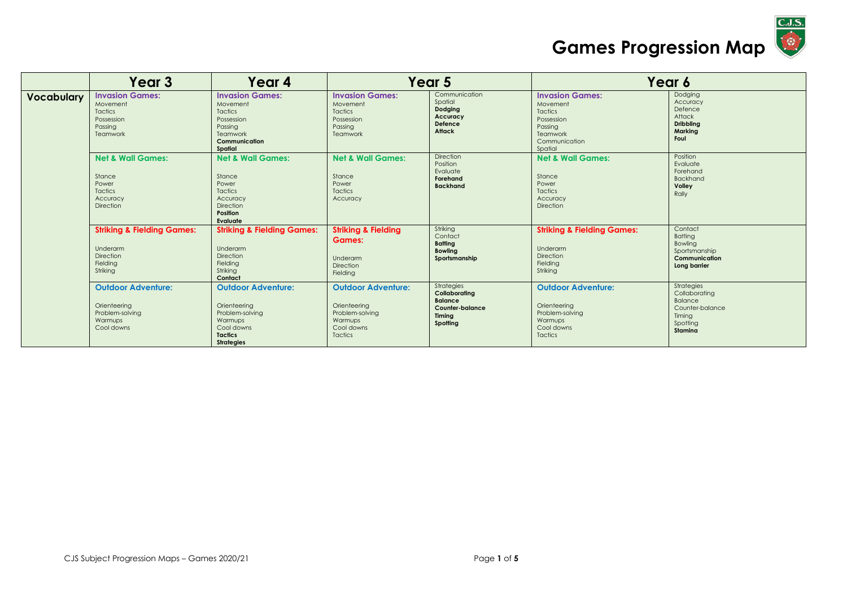

|                   | Year <sub>3</sub>                                                                             | Year 4                                                                                                                       |                                                                                                         | Year 5                                                                                        |                                                                                                                | Year 6                                                                                            |
|-------------------|-----------------------------------------------------------------------------------------------|------------------------------------------------------------------------------------------------------------------------------|---------------------------------------------------------------------------------------------------------|-----------------------------------------------------------------------------------------------|----------------------------------------------------------------------------------------------------------------|---------------------------------------------------------------------------------------------------|
| <b>Vocabulary</b> | <b>Invasion Games:</b><br>Movement<br><b>Tactics</b><br>Possession<br>Passina<br>Teamwork     | <b>Invasion Games:</b><br>Movement<br>Tactics<br>Possession<br>Passing<br><b>Teamwork</b><br>Communication<br>Spatial        | <b>Invasion Games:</b><br>Movement<br><b>Tactics</b><br>Possession<br>Passina<br>Teamwork               | Communication<br>Spatial<br>Dodging<br>Accuracy<br>Defence<br>Attack                          | <b>Invasion Games:</b><br>Movement<br>Tactics<br>Possession<br>Passing<br>Teamwork<br>Communication<br>Spatial | Dodging<br>Accuracy<br>Defence<br>Attack<br><b>Dribbling</b><br>Marking<br>Foul                   |
|                   | <b>Net &amp; Wall Games:</b><br>Stance<br>Power<br><b>Tactics</b><br>Accuracy<br>Direction    | <b>Net &amp; Wall Games:</b><br>Stance<br>Power<br><b>Tactics</b><br>Accuracy<br><b>Direction</b><br>Position<br>Evaluate    | <b>Net &amp; Wall Games:</b><br>Stance<br>Power<br><b>Tactics</b><br>Accuracy                           | Direction<br>Position<br>Evaluate<br>Forehand<br><b>Backhand</b>                              | <b>Net &amp; Wall Games:</b><br>Stance<br>Power<br>Tactics<br>Accuracy<br>Direction                            | Position<br>Evaluate<br>Forehand<br><b>Backhand</b><br>Volley<br>Rally                            |
|                   | <b>Striking &amp; Fielding Games:</b><br>Underarm<br><b>Direction</b><br>Fielding<br>Striking | <b>Striking &amp; Fielding Games:</b><br>Underarm<br><b>Direction</b><br>Fielding<br>Striking<br>Contact                     | <b>Striking &amp; Fielding</b><br><b>Games:</b><br>Underarm<br><b>Direction</b><br>Fielding             | Striking<br>Contact<br><b>Batting</b><br><b>Bowling</b><br>Sportsmanship                      | <b>Striking &amp; Fielding Games:</b><br>Underarm<br>Direction<br>Fielding<br>Striking                         | Contact<br><b>Batting</b><br>Bowling<br>Sportsmanship<br>Communication<br>Long barrier            |
|                   | <b>Outdoor Adventure:</b><br>Orienteering<br>Problem-solving<br>Warmups<br>Cool downs         | <b>Outdoor Adventure:</b><br>Orienteering<br>Problem-solving<br>Warmups<br>Cool downs<br><b>Tactics</b><br><b>Strategies</b> | <b>Outdoor Adventure:</b><br>Orienteering<br>Problem-solving<br>Warmups<br>Cool downs<br><b>Tactics</b> | Strategies<br>Collaborating<br><b>Balance</b><br><b>Counter-balance</b><br>Timina<br>Spotting | <b>Outdoor Adventure:</b><br>Orienteering<br>Problem-solving<br>Warmups<br>Cool downs<br><b>Tactics</b>        | Strategies<br>Collaborating<br><b>Balance</b><br>Counter-balance<br>Timing<br>Spotting<br>Stamina |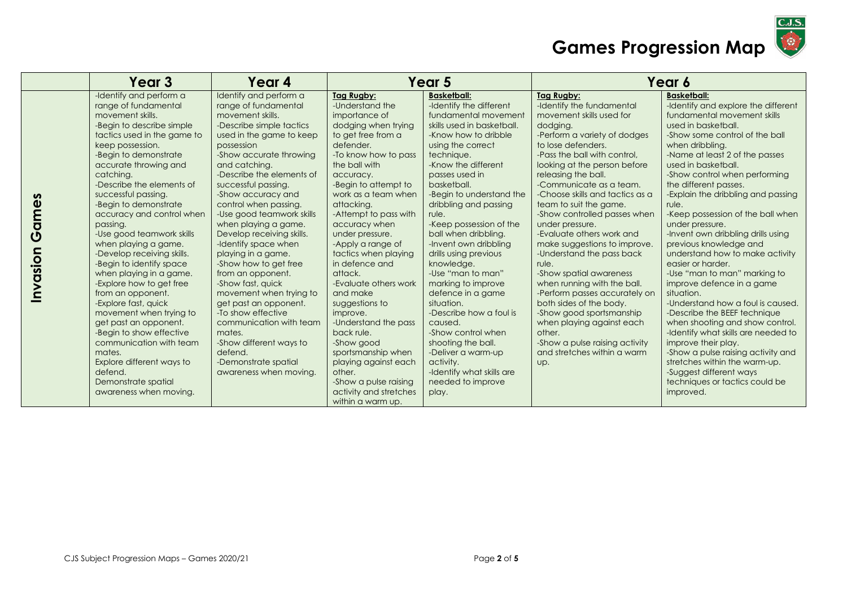

|                   | Year 3                                                                                                                                                                                                                                                                                                                                                                                                                                                                                                                                                                                                                                                                                                                                                                    | Year 4                                                                                                                                                                                                                                                                                                                                                                                                                                                                                                                                                                                                                                                                                            | Year 5                                                                                                                                                                                                                                                                                                                                                                                                                                                                                                                                                                                                                    |                                                                                                                                                                                                                                                                                                                                                                                                                                                                                                                                                                                                                                                                       | Year 6                                                                                                                                                                                                                                                                                                                                                                                                                                                                                                                                                                                                                                                                                                                                             |                                                                                                                                                                                                                                                                                                                                                                                                                                                                                                                                                                                                                                                                                                                                                                                                                                                                                                                          |
|-------------------|---------------------------------------------------------------------------------------------------------------------------------------------------------------------------------------------------------------------------------------------------------------------------------------------------------------------------------------------------------------------------------------------------------------------------------------------------------------------------------------------------------------------------------------------------------------------------------------------------------------------------------------------------------------------------------------------------------------------------------------------------------------------------|---------------------------------------------------------------------------------------------------------------------------------------------------------------------------------------------------------------------------------------------------------------------------------------------------------------------------------------------------------------------------------------------------------------------------------------------------------------------------------------------------------------------------------------------------------------------------------------------------------------------------------------------------------------------------------------------------|---------------------------------------------------------------------------------------------------------------------------------------------------------------------------------------------------------------------------------------------------------------------------------------------------------------------------------------------------------------------------------------------------------------------------------------------------------------------------------------------------------------------------------------------------------------------------------------------------------------------------|-----------------------------------------------------------------------------------------------------------------------------------------------------------------------------------------------------------------------------------------------------------------------------------------------------------------------------------------------------------------------------------------------------------------------------------------------------------------------------------------------------------------------------------------------------------------------------------------------------------------------------------------------------------------------|----------------------------------------------------------------------------------------------------------------------------------------------------------------------------------------------------------------------------------------------------------------------------------------------------------------------------------------------------------------------------------------------------------------------------------------------------------------------------------------------------------------------------------------------------------------------------------------------------------------------------------------------------------------------------------------------------------------------------------------------------|--------------------------------------------------------------------------------------------------------------------------------------------------------------------------------------------------------------------------------------------------------------------------------------------------------------------------------------------------------------------------------------------------------------------------------------------------------------------------------------------------------------------------------------------------------------------------------------------------------------------------------------------------------------------------------------------------------------------------------------------------------------------------------------------------------------------------------------------------------------------------------------------------------------------------|
| Games<br>Invasion | -Identify and perform a<br>range of fundamental<br>movement skills.<br>-Begin to describe simple<br>tactics used in the game to<br>keep possession.<br>-Begin to demonstrate<br>accurate throwing and<br>catching.<br>-Describe the elements of<br>successful passing.<br>-Begin to demonstrate<br>accuracy and control when<br>passing.<br>-Use good teamwork skills<br>when playing a game.<br>-Develop receiving skills.<br>-Begin to identify space<br>when playing in a game.<br>-Explore how to get free<br>from an opponent.<br>-Explore fast, quick<br>movement when trying to<br>get past an opponent.<br>-Begin to show effective<br>communication with team<br>mates.<br>Explore different ways to<br>defend.<br>Demonstrate spatial<br>awareness when moving. | Identify and perform a<br>range of fundamental<br>movement skills.<br>-Describe simple tactics<br>used in the game to keep<br>possession<br>-Show accurate throwing<br>and catching.<br>-Describe the elements of<br>successful passing.<br>-Show accuracy and<br>control when passing.<br>-Use good teamwork skills<br>when playing a game.<br>Develop receiving skills.<br>-Identify space when<br>playing in a game.<br>-Show how to get free<br>from an opponent.<br>-Show fast, quick<br>movement when trying to<br>get past an opponent.<br>-To show effective<br>communication with team<br>mates.<br>-Show different ways to<br>defend.<br>-Demonstrate spatial<br>awareness when moving. | Tag Rugby:<br>-Understand the<br>importance of<br>dodging when trying<br>to get free from a<br>defender.<br>-To know how to pass<br>the ball with<br>accuracy.<br>-Begin to attempt to<br>work as a team when<br>attacking.<br>-Attempt to pass with<br>accuracy when<br>under pressure.<br>-Apply a range of<br>tactics when playing<br>in defence and<br>attack.<br>-Evaluate others work<br>and make<br>suggestions to<br>improve.<br>-Understand the pass<br>back rule.<br>-Show good<br>sportsmanship when<br>playing against each<br>other.<br>-Show a pulse raising<br>activity and stretches<br>within a warm up. | <b>Basketball:</b><br>-Identify the different<br>fundamental movement<br>skills used in basketball.<br>-Know how to dribble<br>using the correct<br>technique.<br>-Know the different<br>passes used in<br>basketball.<br>-Begin to understand the<br>dribbling and passing<br>rule.<br>-Keep possession of the<br>ball when dribbling.<br>-Invent own dribbling<br>drills using previous<br>knowledge.<br>-Use "man to man"<br>marking to improve<br>defence in a game<br>situation.<br>-Describe how a foul is<br>caused.<br>-Show control when<br>shooting the ball.<br>-Deliver a warm-up<br>activity.<br>-Identify what skills are<br>needed to improve<br>play. | <b>Tag Rugby:</b><br>-Identify the fundamental<br>movement skills used for<br>dodging.<br>-Perform a variety of dodges<br>to lose defenders.<br>-Pass the ball with control,<br>looking at the person before<br>releasing the ball.<br>-Communicate as a team.<br>-Choose skills and tactics as a<br>team to suit the game.<br>-Show controlled passes when<br>under pressure.<br>-Evaluate others work and<br>make suggestions to improve.<br>-Understand the pass back<br>rule.<br>-Show spatial awareness<br>when running with the ball.<br>-Perform passes accurately on<br>both sides of the body.<br>-Show good sportsmanship<br>when playing against each<br>other.<br>-Show a pulse raising activity<br>and stretches within a warm<br>Up. | <b>Basketball:</b><br>-Identify and explore the different<br>fundamental movement skills<br>used in basketball.<br>-Show some control of the ball<br>when dribbling.<br>-Name at least 2 of the passes<br>used in basketball.<br>-Show control when performing<br>the different passes.<br>-Explain the dribbling and passing<br>rule.<br>-Keep possession of the ball when<br>under pressure.<br>-Invent own dribbling drills using<br>previous knowledge and<br>understand how to make activity<br>easier or harder.<br>-Use "man to man" marking to<br>improve defence in a game<br>situation.<br>-Understand how a foul is caused.<br>-Describe the BEEF technique<br>when shooting and show control.<br>-Identify what skills are needed to<br>improve their play.<br>-Show a pulse raising activity and<br>stretches within the warm-up.<br>-Suggest different ways<br>techniques or tactics could be<br>improved. |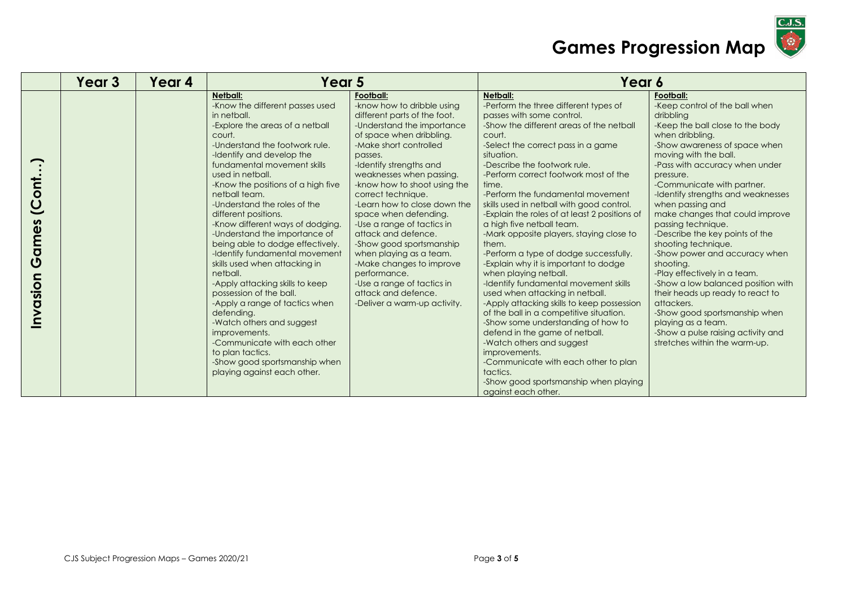

|                                                   | Year 3 | Year 4 | Year 5                                                                                                                                                                                                                                                                                                                                                                                                                                                                                                                                                                                                                                                                                                                                                                                                                  |                                                                                                                                                                                                                                                                                                                                                                                                                                                                                                                                                                                           | Year 6                                                                                                                                                                                                                                                                                                                                                                                                                                                                                                                                                                                                                                                                                                                                                                                                                                                                                                                                                                                                                            |                                                                                                                                                                                                                                                                                                                                                                                                                                                                                                                                                                                                                                                                                                                                         |
|---------------------------------------------------|--------|--------|-------------------------------------------------------------------------------------------------------------------------------------------------------------------------------------------------------------------------------------------------------------------------------------------------------------------------------------------------------------------------------------------------------------------------------------------------------------------------------------------------------------------------------------------------------------------------------------------------------------------------------------------------------------------------------------------------------------------------------------------------------------------------------------------------------------------------|-------------------------------------------------------------------------------------------------------------------------------------------------------------------------------------------------------------------------------------------------------------------------------------------------------------------------------------------------------------------------------------------------------------------------------------------------------------------------------------------------------------------------------------------------------------------------------------------|-----------------------------------------------------------------------------------------------------------------------------------------------------------------------------------------------------------------------------------------------------------------------------------------------------------------------------------------------------------------------------------------------------------------------------------------------------------------------------------------------------------------------------------------------------------------------------------------------------------------------------------------------------------------------------------------------------------------------------------------------------------------------------------------------------------------------------------------------------------------------------------------------------------------------------------------------------------------------------------------------------------------------------------|-----------------------------------------------------------------------------------------------------------------------------------------------------------------------------------------------------------------------------------------------------------------------------------------------------------------------------------------------------------------------------------------------------------------------------------------------------------------------------------------------------------------------------------------------------------------------------------------------------------------------------------------------------------------------------------------------------------------------------------------|
| <b>The</b><br>$\overline{O}$<br>Games<br>Invasion |        |        | <b>Netball:</b><br>-Know the different passes used<br>in netball.<br>-Explore the areas of a netball<br>court.<br>-Understand the footwork rule.<br>-Identify and develop the<br>fundamental movement skills<br>used in netball.<br>-Know the positions of a high five<br>netball team.<br>-Understand the roles of the<br>different positions.<br>-Know different ways of dodging.<br>-Understand the importance of<br>being able to dodge effectively.<br>-Identify fundamental movement<br>skills used when attacking in<br>netball.<br>-Apply attacking skills to keep<br>possession of the ball.<br>-Apply a range of tactics when<br>defending.<br>-Watch others and suggest<br>improvements.<br>-Communicate with each other<br>to plan tactics.<br>-Show good sportsmanship when<br>playing against each other. | Football:<br>-know how to dribble using<br>different parts of the foot.<br>-Understand the importance<br>of space when dribbling.<br>-Make short controlled<br>passes.<br>-Identify strengths and<br>weaknesses when passing.<br>-know how to shoot using the<br>correct technique.<br>-Learn how to close down the<br>space when defending.<br>-Use a range of tactics in<br>attack and defence.<br>-Show good sportsmanship<br>when playing as a team.<br>-Make changes to improve<br>performance.<br>-Use a range of tactics in<br>attack and defence.<br>-Deliver a warm-up activity. | <b>Netball:</b><br>-Perform the three different types of<br>passes with some control.<br>-Show the different areas of the netball<br>court.<br>-Select the correct pass in a game<br>situation.<br>-Describe the footwork rule.<br>-Perform correct footwork most of the<br>time.<br>-Perform the fundamental movement<br>skills used in netball with good control.<br>-Explain the roles of at least 2 positions of<br>a high five netball team.<br>-Mark opposite players, staying close to<br>them.<br>-Perform a type of dodge successfully.<br>-Explain why it is important to dodge<br>when playing netball.<br>-Identify fundamental movement skills<br>used when attacking in netball.<br>-Apply attacking skills to keep possession<br>of the ball in a competitive situation.<br>-Show some understanding of how to<br>defend in the game of netball.<br>-Watch others and suggest<br>improvements.<br>-Communicate with each other to plan<br>tactics.<br>-Show good sportsmanship when playing<br>against each other. | Football:<br>-Keep control of the ball when<br>dribbling<br>-Keep the ball close to the body<br>when dribbling.<br>-Show awareness of space when<br>moving with the ball.<br>-Pass with accuracy when under<br>pressure.<br>-Communicate with partner.<br>-Identify strengths and weaknesses<br>when passing and<br>make changes that could improve<br>passing technique.<br>-Describe the key points of the<br>shooting technique.<br>-Show power and accuracy when<br>shooting.<br>-Play effectively in a team.<br>-Show a low balanced position with<br>their heads up ready to react to<br>attackers.<br>-Show good sportsmanship when<br>playing as a team.<br>-Show a pulse raising activity and<br>stretches within the warm-up. |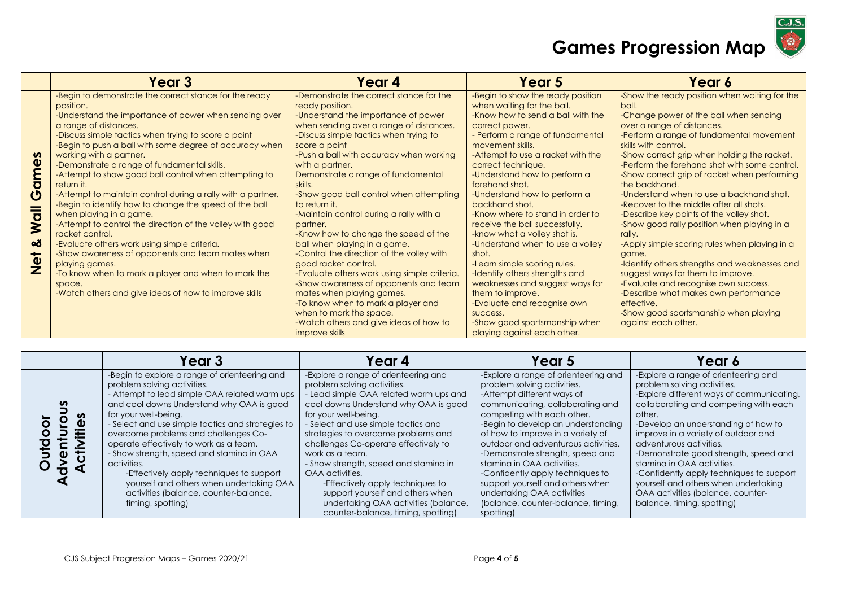

|                                                                                              | Year 3                                                                                                                                                                                                                                                                                                                                                                                                                                                                                                                                                                                                                                                                                                                                                                                                                                                                                                        | Year 4                                                                                                                                                                                                                                                                                                                                                                                                                                                                                                                                                                                                                                                                                                                                                                                                                                    | Year 5                                                                                                                                                                                                                                                                                                                                                                                                                                                                                                                                                                                                                                                                                                                               | Year 6                                                                                                                                                                                                                                                                                                                                                                                                                                                                                                                                                                                                                                                                                                                                                                                                                                                                        |
|----------------------------------------------------------------------------------------------|---------------------------------------------------------------------------------------------------------------------------------------------------------------------------------------------------------------------------------------------------------------------------------------------------------------------------------------------------------------------------------------------------------------------------------------------------------------------------------------------------------------------------------------------------------------------------------------------------------------------------------------------------------------------------------------------------------------------------------------------------------------------------------------------------------------------------------------------------------------------------------------------------------------|-------------------------------------------------------------------------------------------------------------------------------------------------------------------------------------------------------------------------------------------------------------------------------------------------------------------------------------------------------------------------------------------------------------------------------------------------------------------------------------------------------------------------------------------------------------------------------------------------------------------------------------------------------------------------------------------------------------------------------------------------------------------------------------------------------------------------------------------|--------------------------------------------------------------------------------------------------------------------------------------------------------------------------------------------------------------------------------------------------------------------------------------------------------------------------------------------------------------------------------------------------------------------------------------------------------------------------------------------------------------------------------------------------------------------------------------------------------------------------------------------------------------------------------------------------------------------------------------|-------------------------------------------------------------------------------------------------------------------------------------------------------------------------------------------------------------------------------------------------------------------------------------------------------------------------------------------------------------------------------------------------------------------------------------------------------------------------------------------------------------------------------------------------------------------------------------------------------------------------------------------------------------------------------------------------------------------------------------------------------------------------------------------------------------------------------------------------------------------------------|
| $\infty$<br>$\bar{\sigma}$<br>$\boldsymbol{\mathsf{C}}$<br><b>Wall</b><br>ಯ<br><b>b</b><br>Z | -Begin to demonstrate the correct stance for the ready<br>position.<br>-Understand the importance of power when sending over<br>a range of distances.<br>-Discuss simple tactics when trying to score a point<br>-Begin to push a ball with some degree of accuracy when<br>working with a partner.<br>-Demonstrate a range of fundamental skills.<br>-Attempt to show good ball control when attempting to<br>return it.<br>-Attempt to maintain control during a rally with a partner.<br>-Begin to identify how to change the speed of the ball<br>when playing in a game.<br>-Attempt to control the direction of the volley with good<br>racket control.<br>-Evaluate others work using simple criteria.<br>-Show awareness of opponents and team mates when<br>playing games.<br>-To know when to mark a player and when to mark the<br>space.<br>-Watch others and give ideas of how to improve skills | -Demonstrate the correct stance for the<br>ready position.<br>-Understand the importance of power<br>when sending over a range of distances.<br>-Discuss simple tactics when trying to<br>score a point<br>-Push a ball with accuracy when working<br>with a partner.<br>Demonstrate a range of fundamental<br>skills.<br>-Show good ball control when attempting<br>to return it.<br>-Maintain control during a rally with a<br>partner.<br>-Know how to change the speed of the<br>ball when playing in a game.<br>-Control the direction of the volley with<br>good racket control.<br>-Evaluate others work using simple criteria.<br>-Show awareness of opponents and team<br>mates when playing games.<br>-To know when to mark a player and<br>when to mark the space.<br>-Watch others and give ideas of how to<br>improve skills | -Begin to show the ready position<br>when waiting for the ball.<br>-Know how to send a ball with the<br>correct power.<br>- Perform a range of fundamental<br>movement skills.<br>-Attempt to use a racket with the<br>correct technique.<br>-Understand how to perform a<br>forehand shot.<br>-Understand how to perform a<br>backhand shot.<br>-Know where to stand in order to<br>receive the ball successfully.<br>-know what a volley shot is.<br>-Understand when to use a volley<br>shot.<br>-Learn simple scoring rules.<br>-Identify others strengths and<br>weaknesses and suggest ways for<br>them to improve.<br>-Evaluate and recognise own<br>success.<br>-Show good sportsmanship when<br>playing against each other. | -Show the ready position when waiting for the<br>ball.<br>-Change power of the ball when sending<br>over a range of distances.<br>-Perform a range of fundamental movement<br>skills with control.<br>-Show correct grip when holding the racket.<br>-Perform the forehand shot with some control.<br>-Show correct grip of racket when performing<br>the backhand.<br>-Understand when to use a backhand shot.<br>-Recover to the middle after all shots.<br>-Describe key points of the volley shot.<br>-Show good rally position when playing in a<br>rally.<br>-Apply simple scoring rules when playing in a<br>game.<br>-Identify others strengths and weaknesses and<br>suggest ways for them to improve.<br>-Evaluate and recognise own success.<br>-Describe what makes own performance<br>effective.<br>-Show good sportsmanship when playing<br>against each other. |

|                  | Year 3                                                                                                                                                                                                                                                                                                                                                                                                                                                                                                                                                      | Year 4                                                                                                                                                                                                                                                                                                                                                                                                                                                                                                                                  | Year 5                                                                                                                                                                                                                                                                                                                                                                                                                                                                                                           | Year 6                                                                                                                                                                                                                                                                                                                                                                                                                                                                                                     |
|------------------|-------------------------------------------------------------------------------------------------------------------------------------------------------------------------------------------------------------------------------------------------------------------------------------------------------------------------------------------------------------------------------------------------------------------------------------------------------------------------------------------------------------------------------------------------------------|-----------------------------------------------------------------------------------------------------------------------------------------------------------------------------------------------------------------------------------------------------------------------------------------------------------------------------------------------------------------------------------------------------------------------------------------------------------------------------------------------------------------------------------------|------------------------------------------------------------------------------------------------------------------------------------------------------------------------------------------------------------------------------------------------------------------------------------------------------------------------------------------------------------------------------------------------------------------------------------------------------------------------------------------------------------------|------------------------------------------------------------------------------------------------------------------------------------------------------------------------------------------------------------------------------------------------------------------------------------------------------------------------------------------------------------------------------------------------------------------------------------------------------------------------------------------------------------|
| n<br>Φ<br>€<br>ω | -Begin to explore a range of orienteering and<br>problem solving activities.<br>- Attempt to lead simple OAA related warm ups<br>and cool downs Understand why OAA is good<br>for your well-being.<br>- Select and use simple tactics and strategies to<br>overcome problems and challenges Co-<br>operate effectively to work as a team.<br>- Show strength, speed and stamina in OAA<br>activities.<br>-Effectively apply techniques to support<br>yourself and others when undertaking OAA<br>activities (balance, counter-balance,<br>timing, spotting) | -Explore a range of orienteering and<br>problem solving activities.<br>Lead simple OAA related warm ups and<br>cool downs Understand why OAA is good<br>for your well-being.<br>- Select and use simple tactics and<br>strategies to overcome problems and<br>challenges Co-operate effectively to<br>work as a team.<br>- Show strength, speed and stamina in<br>OAA activities.<br>-Effectively apply techniques to<br>support yourself and others when<br>undertaking OAA activities (balance,<br>counter-balance, timing, spotting) | -Explore a range of orienteering and<br>problem solving activities.<br>-Attempt different ways of<br>communicating, collaborating and<br>competing with each other.<br>-Begin to develop an understanding<br>of how to improve in a variety of<br>outdoor and adventurous activities.<br>-Demonstrate strength, speed and<br>stamina in OAA activities.<br>-Confidently apply techniques to<br>support yourself and others when<br>undertaking OAA activities<br>(balance, counter-balance, timing,<br>spotting) | -Explore a range of orienteering and<br>problem solving activities.<br>-Explore different ways of communicating,<br>collaborating and competing with each<br>other.<br>-Develop an understanding of how to<br>improve in a variety of outdoor and<br>adventurous activities.<br>-Demonstrate good strength, speed and<br>staming in OAA activities.<br>-Confidently apply techniques to support<br>yourself and others when undertaking<br>OAA activities (balance, counter-<br>balance, timing, spotting) |